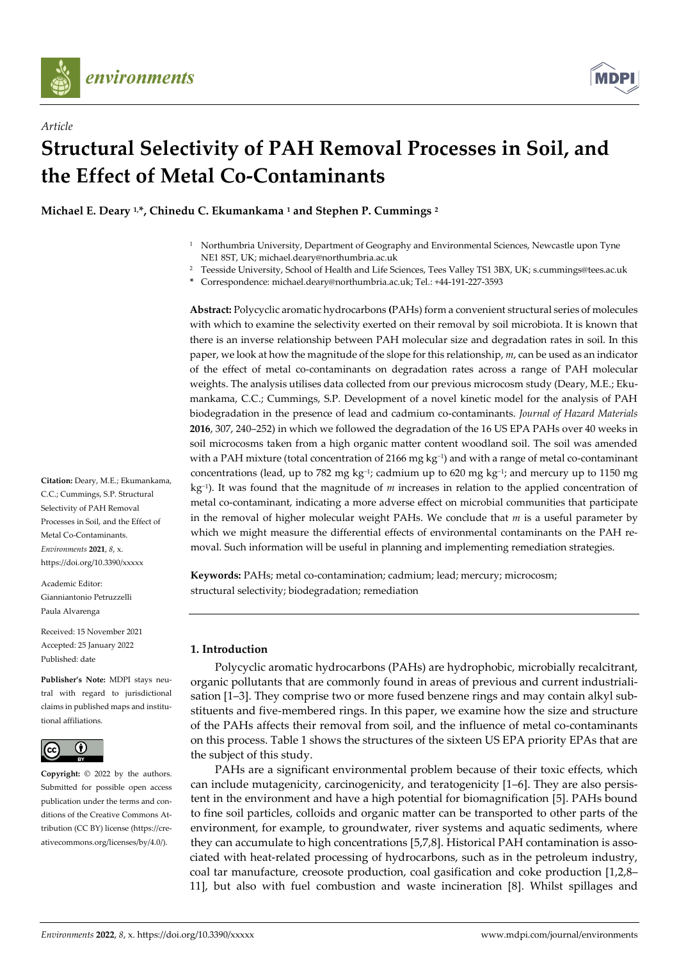

*Article*



# **Structural Selectivity of PAH Removal Processes in Soil, and the Effect of Metal Co-Contaminants**

**Michael E. Deary 1,\*, Chinedu C. Ekumankama <sup>1</sup> and Stephen P. Cummings <sup>2</sup>**

- <sup>1</sup> Northumbria University, Department of Geography and Environmental Sciences, Newcastle upon Tyne NE1 8ST, UK; michael.deary@northumbria.ac.uk
- <sup>2</sup> Teesside University, School of Health and Life Sciences, Tees Valley TS1 3BX, UK; s.cummings@tees.ac.uk
- **\*** Correspondence: michael.deary@northumbria.ac.uk; Tel.: +44-191-227-3593

**Abstract:** Polycyclic aromatic hydrocarbons **(**PAHs) form a convenient structural series of molecules with which to examine the selectivity exerted on their removal by soil microbiota. It is known that there is an inverse relationship between PAH molecular size and degradation rates in soil. In this paper, we look at how the magnitude of the slope for this relationship, *m*, can be used as an indicator of the effect of metal co-contaminants on degradation rates across a range of PAH molecular weights. The analysis utilises data collected from our previous microcosm study (Deary, M.E.; Ekumankama, C.C.; Cummings, S.P. Development of a novel kinetic model for the analysis of PAH biodegradation in the presence of lead and cadmium co-contaminants. *Journal of Hazard Materials* **2016**, 307, 240–252) in which we followed the degradation of the 16 US EPA PAHs over 40 weeks in soil microcosms taken from a high organic matter content woodland soil. The soil was amended with a PAH mixture (total concentration of 2166 mg kg<sup>−</sup><sup>1</sup> ) and with a range of metal co-contaminant concentrations (lead, up to 782 mg kg−1; cadmium up to 620 mg kg−1; and mercury up to 1150 mg kg−1). It was found that the magnitude of *m* increases in relation to the applied concentration of metal co-contaminant, indicating a more adverse effect on microbial communities that participate in the removal of higher molecular weight PAHs. We conclude that *m* is a useful parameter by which we might measure the differential effects of environmental contaminants on the PAH removal. Such information will be useful in planning and implementing remediation strategies.

**Keywords:** PAHs; metal co-contamination; cadmium; lead; mercury; microcosm; structural selectivity; biodegradation; remediation

## **1. Introduction**

Polycyclic aromatic hydrocarbons (PAHs) are hydrophobic, microbially recalcitrant, organic pollutants that are commonly found in areas of previous and current industrialisation [1–3]. They comprise two or more fused benzene rings and may contain alkyl substituents and five-membered rings. In this paper, we examine how the size and structure of the PAHs affects their removal from soil, and the influence of metal co-contaminants on this process. Table 1 shows the structures of the sixteen US EPA priority EPAs that are the subject of this study.

PAHs are a significant environmental problem because of their toxic effects, which can include mutagenicity, carcinogenicity, and teratogenicity [1–6]. They are also persistent in the environment and have a high potential for biomagnification [5]. PAHs bound to fine soil particles, colloids and organic matter can be transported to other parts of the environment, for example, to groundwater, river systems and aquatic sediments, where they can accumulate to high concentrations [5,7,8]. Historical PAH contamination is associated with heat-related processing of hydrocarbons, such as in the petroleum industry, coal tar manufacture, creosote production, coal gasification and coke production [1,2,8– 11], but also with fuel combustion and waste incineration [8]. Whilst spillages and

**Citation:** Deary, M.E.; Ekumankama, C.C.; Cummings, S.P. Structural Selectivity of PAH Removal Processes in Soil, and the Effect of Metal Co-Contaminants. *Environments* **2021**, *8*, x. https://doi.org/10.3390/xxxxx

Academic Editor: Gianniantonio Petruzzelli Paula Alvarenga

Received: 15 November 2021 Accepted: 25 January 2022 Published: date

**Publisher's Note:** MDPI stays neutral with regard to jurisdictional claims in published maps and institutional affiliations.



**Copyright:** © 2022 by the authors. Submitted for possible open access publication under the terms and conditions of the Creative Commons Attribution (CC BY) license (https://creativecommons.org/licenses/by/4.0/).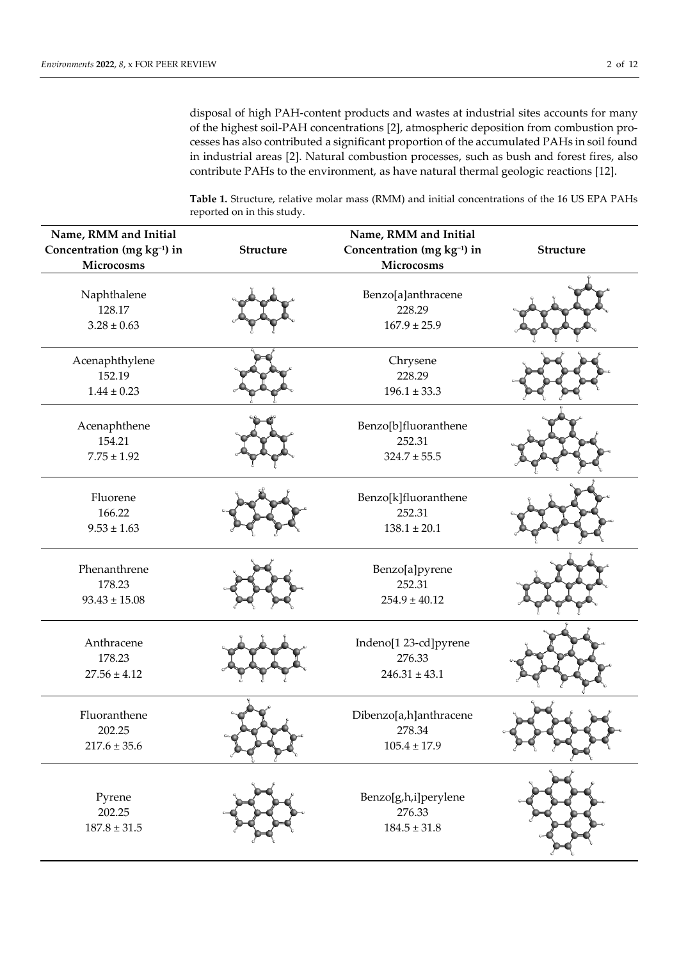disposal of high PAH-content products and wastes at industrial sites accounts for many of the highest soil-PAH concentrations [2], atmospheric deposition from combustion processes has also contributed a significant proportion of the accumulated PAHs in soil found in industrial areas [2]. Natural combustion processes, such as bush and forest fires, also contribute PAHs to the environment, as have natural thermal geologic reactions [12].

**Table 1.** Structure, relative molar mass (RMM) and initial concentrations of the 16 US EPA PAHs reported on in this study.

| Name, RMM and Initial<br>Concentration (mg kg-1) in<br>Microcosms | Structure | Name, RMM and Initial<br>Concentration (mg kg-1) in<br>Microcosms | Structure |
|-------------------------------------------------------------------|-----------|-------------------------------------------------------------------|-----------|
| Naphthalene<br>128.17<br>$3.28 \pm 0.63$                          |           | Benzo[a]anthracene<br>228.29<br>$167.9 \pm 25.9$                  |           |
| Acenaphthylene<br>152.19<br>$1.44 \pm 0.23$                       |           | Chrysene<br>228.29<br>$196.1 \pm 33.3$                            |           |
| Acenaphthene<br>154.21<br>$7.75 \pm 1.92$                         |           | Benzo[b]fluoranthene<br>252.31<br>$324.7 \pm 55.5$                |           |
| Fluorene<br>166.22<br>$9.53 \pm 1.63$                             |           | Benzo[k]fluoranthene<br>252.31<br>$138.1 \pm 20.1$                |           |
| Phenanthrene<br>178.23<br>$93.43 \pm 15.08$                       |           | Benzo[a]pyrene<br>252.31<br>$254.9 \pm 40.12$                     |           |
| Anthracene<br>178.23<br>$27.56 \pm 4.12$                          |           | Indeno[1 23-cd]pyrene<br>276.33<br>$246.31 \pm 43.1$              |           |
| Fluoranthene<br>202.25<br>$217.6 \pm 35.6$                        |           | Dibenzo[a,h]anthracene<br>278.34<br>$105.4 \pm 17.9$              |           |
| Pyrene<br>202.25<br>$187.8 \pm 31.5$                              |           | Benzo[g,h,i]perylene<br>276.33<br>$184.5 \pm 31.8$                |           |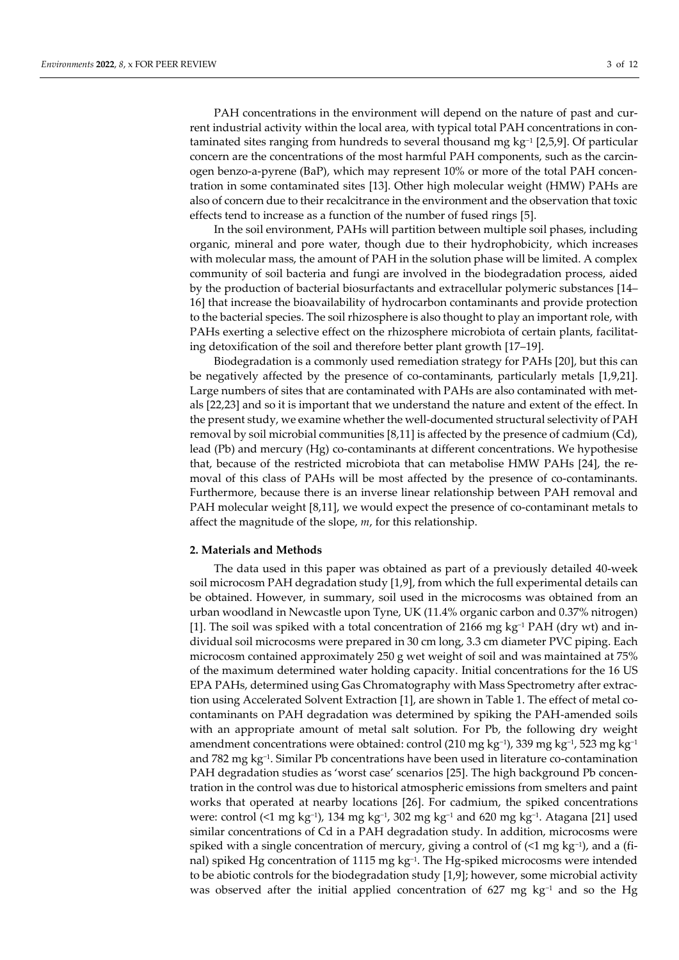PAH concentrations in the environment will depend on the nature of past and current industrial activity within the local area, with typical total PAH concentrations in contaminated sites ranging from hundreds to several thousand mg kg−<sup>1</sup> [2,5,9]. Of particular concern are the concentrations of the most harmful PAH components, such as the carcinogen benzo-a-pyrene (BaP), which may represent 10% or more of the total PAH concentration in some contaminated sites [13]. Other high molecular weight (HMW) PAHs are also of concern due to their recalcitrance in the environment and the observation that toxic effects tend to increase as a function of the number of fused rings [5].

In the soil environment, PAHs will partition between multiple soil phases, including organic, mineral and pore water, though due to their hydrophobicity, which increases with molecular mass, the amount of PAH in the solution phase will be limited. A complex community of soil bacteria and fungi are involved in the biodegradation process, aided by the production of bacterial biosurfactants and extracellular polymeric substances [14– 16] that increase the bioavailability of hydrocarbon contaminants and provide protection to the bacterial species. The soil rhizosphere is also thought to play an important role, with PAHs exerting a selective effect on the rhizosphere microbiota of certain plants, facilitating detoxification of the soil and therefore better plant growth [17–19].

Biodegradation is a commonly used remediation strategy for PAHs [20], but this can be negatively affected by the presence of co-contaminants, particularly metals [1,9,21]. Large numbers of sites that are contaminated with PAHs are also contaminated with metals [22,23] and so it is important that we understand the nature and extent of the effect. In the present study, we examine whether the well-documented structural selectivity of PAH removal by soil microbial communities [8,11] is affected by the presence of cadmium (Cd), lead (Pb) and mercury (Hg) co-contaminants at different concentrations. We hypothesise that, because of the restricted microbiota that can metabolise HMW PAHs [24], the removal of this class of PAHs will be most affected by the presence of co-contaminants. Furthermore, because there is an inverse linear relationship between PAH removal and PAH molecular weight [8,11], we would expect the presence of co-contaminant metals to affect the magnitude of the slope, *m*, for this relationship.

#### **2. Materials and Methods**

The data used in this paper was obtained as part of a previously detailed 40-week soil microcosm PAH degradation study [1,9], from which the full experimental details can be obtained. However, in summary, soil used in the microcosms was obtained from an urban woodland in Newcastle upon Tyne, UK (11.4% organic carbon and 0.37% nitrogen) [1]. The soil was spiked with a total concentration of 2166 mg kg−1 PAH (dry wt) and individual soil microcosms were prepared in 30 cm long, 3.3 cm diameter PVC piping. Each microcosm contained approximately 250 g wet weight of soil and was maintained at 75% of the maximum determined water holding capacity. Initial concentrations for the 16 US EPA PAHs, determined using Gas Chromatography with Mass Spectrometry after extraction using Accelerated Solvent Extraction [1], are shown in Table 1. The effect of metal cocontaminants on PAH degradation was determined by spiking the PAH-amended soils with an appropriate amount of metal salt solution. For Pb, the following dry weight amendment concentrations were obtained: control (210 mg kg−1), 339 mg kg−1, 523 mg kg−1 and 782 mg kg−1 . Similar Pb concentrations have been used in literature co-contamination PAH degradation studies as 'worst case' scenarios [25]. The high background Pb concentration in the control was due to historical atmospheric emissions from smelters and paint works that operated at nearby locations [26]. For cadmium, the spiked concentrations were: control (<1 mg kg<sup>-1</sup>), 134 mg kg<sup>-1</sup>, 302 mg kg<sup>-1</sup> and 620 mg kg<sup>-1</sup>. Atagana [21] used similar concentrations of Cd in a PAH degradation study. In addition, microcosms were spiked with a single concentration of mercury, giving a control of (<1 mg kg<sup>-1</sup>), and a (final) spiked Hg concentration of 1115 mg kg−1 . The Hg-spiked microcosms were intended to be abiotic controls for the biodegradation study [1,9]; however, some microbial activity was observed after the initial applied concentration of 627 mg kg<sup>-1</sup> and so the Hg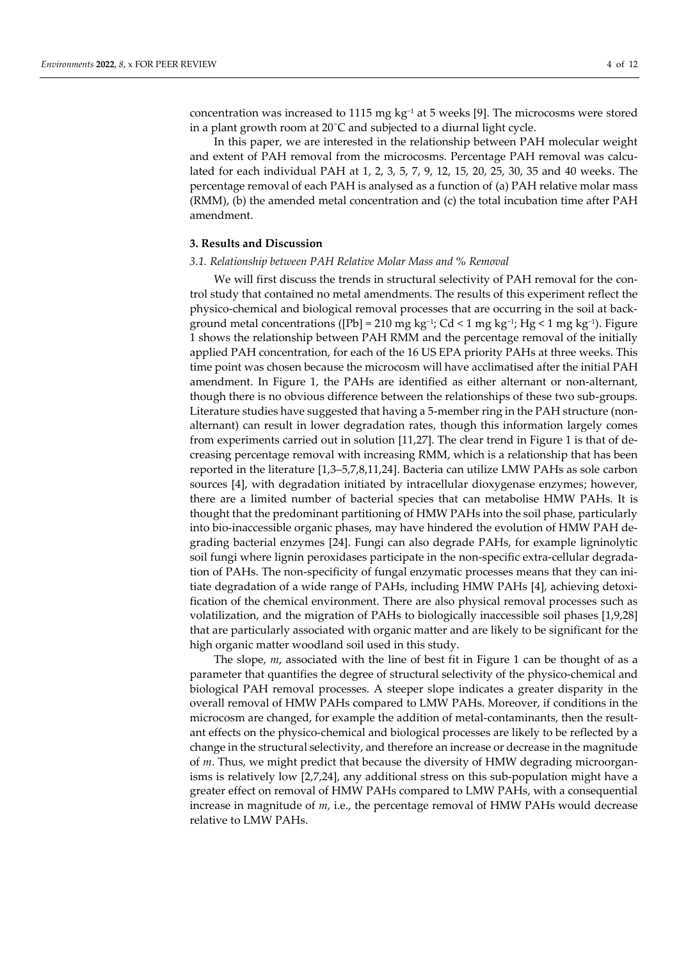concentration was increased to 1115 mg kg−1 at 5 weeks [9]. The microcosms were stored in a plant growth room at 20˚C and subjected to a diurnal light cycle.

In this paper, we are interested in the relationship between PAH molecular weight and extent of PAH removal from the microcosms. Percentage PAH removal was calculated for each individual PAH at 1, 2, 3, 5, 7, 9, 12, 15, 20, 25, 30, 35 and 40 weeks. The percentage removal of each PAH is analysed as a function of (a) PAH relative molar mass (RMM), (b) the amended metal concentration and (c) the total incubation time after PAH amendment.

## **3. Results and Discussion**

## *3.1. Relationship between PAH Relative Molar Mass and % Removal*

We will first discuss the trends in structural selectivity of PAH removal for the control study that contained no metal amendments. The results of this experiment reflect the physico-chemical and biological removal processes that are occurring in the soil at background metal concentrations ([Pb] = 210 mg kg−1; Cd < 1 mg kg−1; Hg < 1 mg kg−1). Figure 1 shows the relationship between PAH RMM and the percentage removal of the initially applied PAH concentration, for each of the 16 US EPA priority PAHs at three weeks. This time point was chosen because the microcosm will have acclimatised after the initial PAH amendment. In Figure 1, the PAHs are identified as either alternant or non-alternant, though there is no obvious difference between the relationships of these two sub-groups. Literature studies have suggested that having a 5-member ring in the PAH structure (nonalternant) can result in lower degradation rates, though this information largely comes from experiments carried out in solution [11,27]. The clear trend in Figure 1 is that of decreasing percentage removal with increasing RMM, which is a relationship that has been reported in the literature [1,3–5,7,8,11,24]. Bacteria can utilize LMW PAHs as sole carbon sources [4], with degradation initiated by intracellular dioxygenase enzymes; however, there are a limited number of bacterial species that can metabolise HMW PAHs. It is thought that the predominant partitioning of HMW PAHs into the soil phase, particularly into bio-inaccessible organic phases, may have hindered the evolution of HMW PAH degrading bacterial enzymes [24]. Fungi can also degrade PAHs, for example ligninolytic soil fungi where lignin peroxidases participate in the non-specific extra-cellular degradation of PAHs. The non-specificity of fungal enzymatic processes means that they can initiate degradation of a wide range of PAHs, including HMW PAHs [4], achieving detoxification of the chemical environment. There are also physical removal processes such as volatilization, and the migration of PAHs to biologically inaccessible soil phases [1,9,28] that are particularly associated with organic matter and are likely to be significant for the high organic matter woodland soil used in this study.

The slope, *m*, associated with the line of best fit in Figure 1 can be thought of as a parameter that quantifies the degree of structural selectivity of the physico-chemical and biological PAH removal processes. A steeper slope indicates a greater disparity in the overall removal of HMW PAHs compared to LMW PAHs. Moreover, if conditions in the microcosm are changed, for example the addition of metal-contaminants, then the resultant effects on the physico-chemical and biological processes are likely to be reflected by a change in the structural selectivity, and therefore an increase or decrease in the magnitude of *m*. Thus, we might predict that because the diversity of HMW degrading microorganisms is relatively low [2,7,24], any additional stress on this sub-population might have a greater effect on removal of HMW PAHs compared to LMW PAHs, with a consequential increase in magnitude of *m,* i.e., the percentage removal of HMW PAHs would decrease relative to LMW PAHs.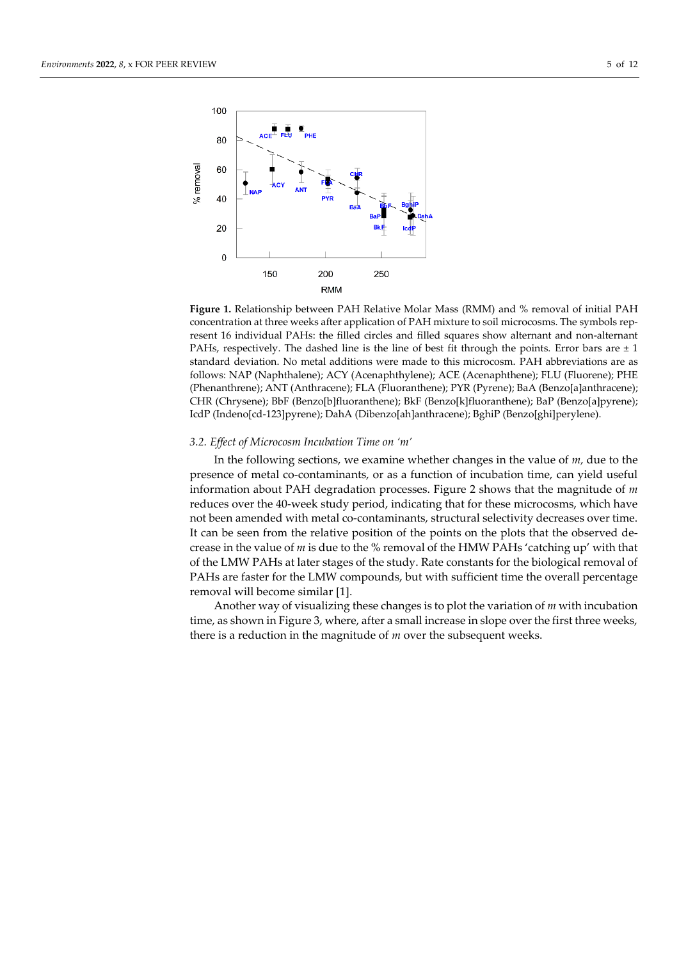

**Figure 1.** Relationship between PAH Relative Molar Mass (RMM) and % removal of initial PAH concentration at three weeks after application of PAH mixture to soil microcosms. The symbols represent 16 individual PAHs: the filled circles and filled squares show alternant and non-alternant PAHs, respectively. The dashed line is the line of best fit through the points. Error bars are  $\pm 1$ standard deviation. No metal additions were made to this microcosm. PAH abbreviations are as follows: NAP (Naphthalene); ACY (Acenaphthylene); ACE (Acenaphthene); FLU (Fluorene); PHE (Phenanthrene); ANT (Anthracene); FLA (Fluoranthene); PYR (Pyrene); BaA (Benzo[a]anthracene); CHR (Chrysene); BbF (Benzo[b]fluoranthene); BkF (Benzo[k]fluoranthene); BaP (Benzo[a]pyrene); IcdP (Indeno[cd-123]pyrene); DahA (Dibenzo[ah]anthracene); BghiP (Benzo[ghi]perylene).

## *3.2. Effect of Microcosm Incubation Time on 'm'*

In the following sections, we examine whether changes in the value of *m,* due to the presence of metal co-contaminants, or as a function of incubation time, can yield useful information about PAH degradation processes. Figure 2 shows that the magnitude of *m* reduces over the 40-week study period, indicating that for these microcosms, which have not been amended with metal co-contaminants, structural selectivity decreases over time. It can be seen from the relative position of the points on the plots that the observed decrease in the value of *m* is due to the % removal of the HMW PAHs 'catching up' with that of the LMW PAHs at later stages of the study. Rate constants for the biological removal of PAHs are faster for the LMW compounds, but with sufficient time the overall percentage removal will become similar [1].

Another way of visualizing these changes is to plot the variation of *m* with incubation time, as shown in Figure 3, where, after a small increase in slope over the first three weeks, there is a reduction in the magnitude of *m* over the subsequent weeks.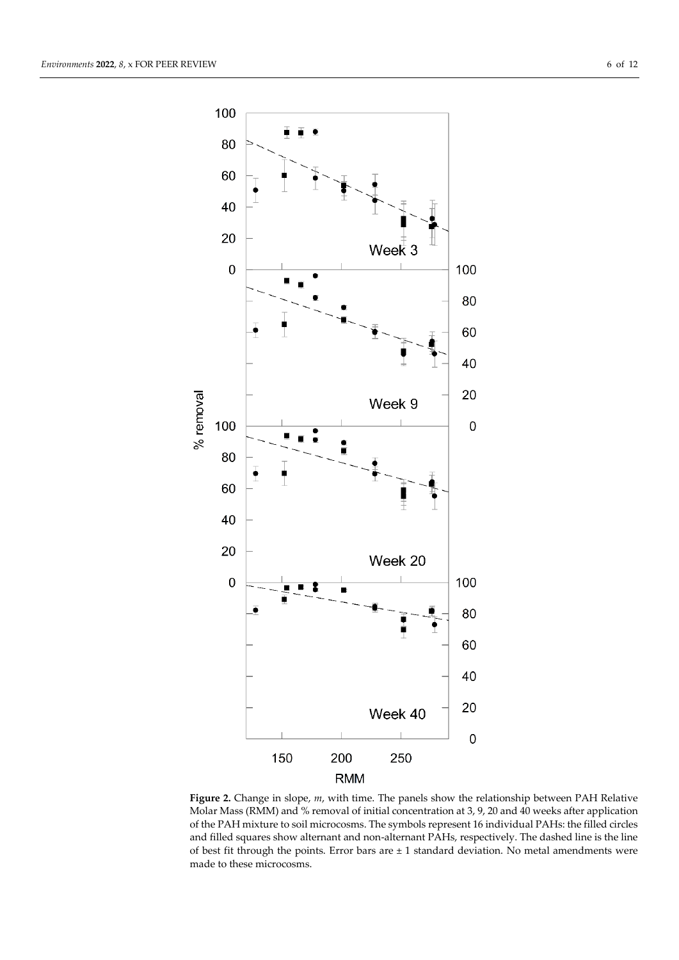

**Figure 2.** Change in slope, *m*, with time. The panels show the relationship between PAH Relative Molar Mass (RMM) and % removal of initial concentration at 3, 9, 20 and 40 weeks after application of the PAH mixture to soil microcosms. The symbols represent 16 individual PAHs: the filled circles and filled squares show alternant and non-alternant PAHs, respectively. The dashed line is the line of best fit through the points. Error bars are  $\pm 1$  standard deviation. No metal amendments were made to these microcosms.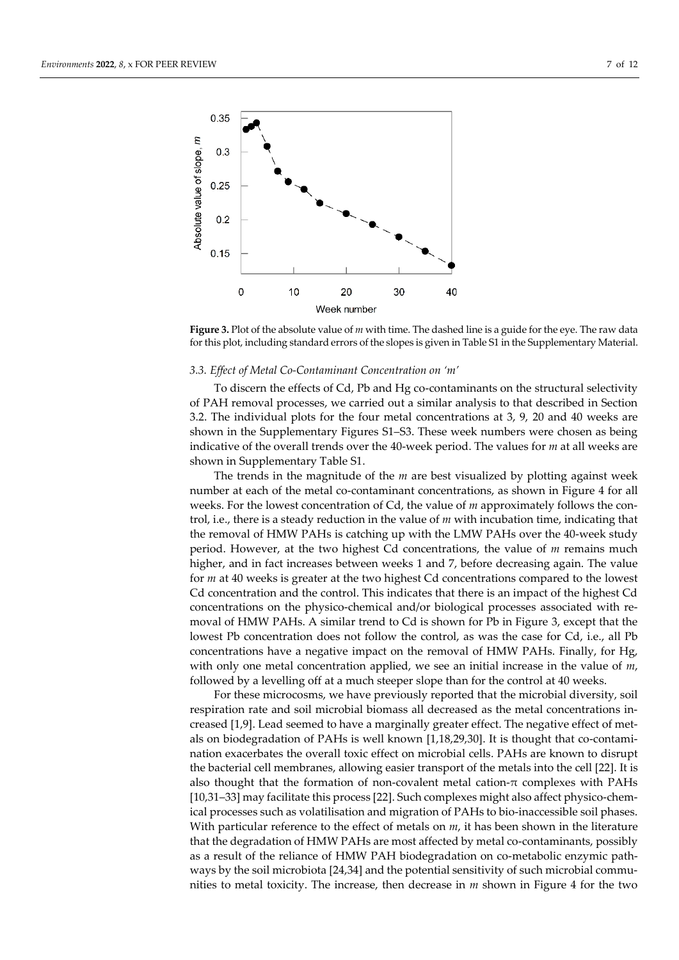

**Figure 3.** Plot of the absolute value of *m* with time. The dashed line is a guide for the eye. The raw data for this plot, including standard errors of the slopes is given in Table S1 in the Supplementary Material.

## *3.3. Effect of Metal Co-Contaminant Concentration on 'm'*

To discern the effects of Cd, Pb and Hg co-contaminants on the structural selectivity of PAH removal processes, we carried out a similar analysis to that described in Section 3.2. The individual plots for the four metal concentrations at 3, 9, 20 and 40 weeks are shown in the Supplementary Figures S1–S3. These week numbers were chosen as being indicative of the overall trends over the 40-week period. The values for *m* at all weeks are shown in Supplementary Table S1.

The trends in the magnitude of the *m* are best visualized by plotting against week number at each of the metal co-contaminant concentrations, as shown in Figure 4 for all weeks. For the lowest concentration of Cd, the value of *m* approximately follows the control, i.e., there is a steady reduction in the value of *m* with incubation time, indicating that the removal of HMW PAHs is catching up with the LMW PAHs over the 40-week study period. However, at the two highest Cd concentrations, the value of *m* remains much higher, and in fact increases between weeks 1 and 7, before decreasing again. The value for *m* at 40 weeks is greater at the two highest Cd concentrations compared to the lowest Cd concentration and the control. This indicates that there is an impact of the highest Cd concentrations on the physico-chemical and/or biological processes associated with removal of HMW PAHs. A similar trend to Cd is shown for Pb in Figure 3, except that the lowest Pb concentration does not follow the control, as was the case for Cd, i.e., all Pb concentrations have a negative impact on the removal of HMW PAHs. Finally, for Hg, with only one metal concentration applied, we see an initial increase in the value of *m*, followed by a levelling off at a much steeper slope than for the control at 40 weeks.

For these microcosms, we have previously reported that the microbial diversity, soil respiration rate and soil microbial biomass all decreased as the metal concentrations increased [1,9]. Lead seemed to have a marginally greater effect. The negative effect of metals on biodegradation of PAHs is well known [1,18,29,30]. It is thought that co-contamination exacerbates the overall toxic effect on microbial cells. PAHs are known to disrupt the bacterial cell membranes, allowing easier transport of the metals into the cell [22]. It is also thought that the formation of non-covalent metal cation- $\pi$  complexes with PAHs [10,31–33] may facilitate this process [22]. Such complexes might also affect physico-chemical processes such as volatilisation and migration of PAHs to bio-inaccessible soil phases. With particular reference to the effect of metals on *m*, it has been shown in the literature that the degradation of HMW PAHs are most affected by metal co-contaminants, possibly as a result of the reliance of HMW PAH biodegradation on co-metabolic enzymic pathways by the soil microbiota [24,34] and the potential sensitivity of such microbial communities to metal toxicity. The increase, then decrease in *m* shown in Figure 4 for the two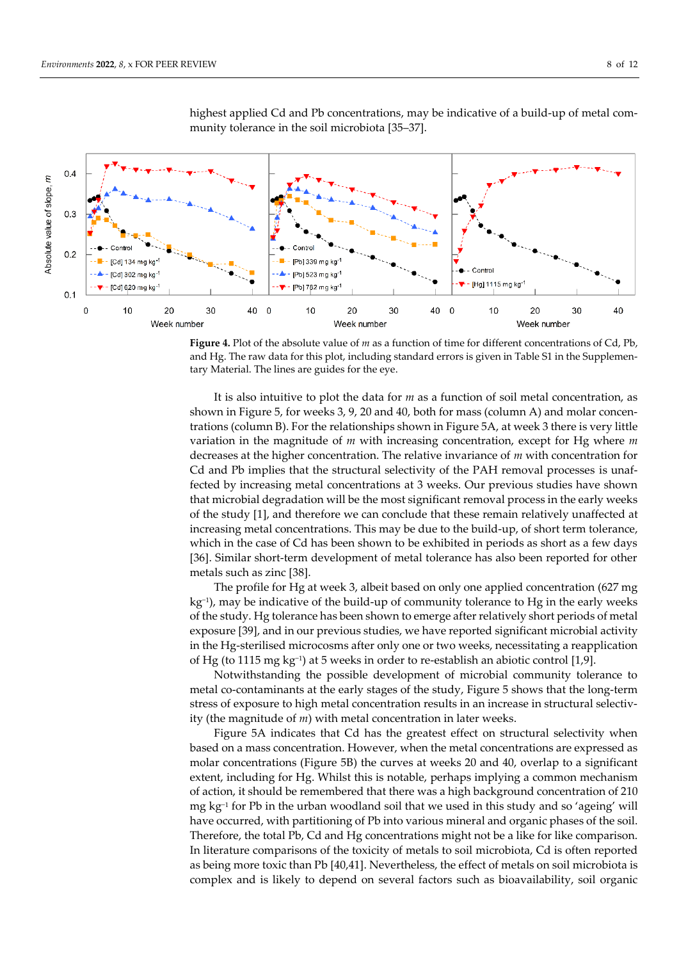

highest applied Cd and Pb concentrations, may be indicative of a build-up of metal community tolerance in the soil microbiota [35–37].

**Figure 4.** Plot of the absolute value of *m* as a function of time for different concentrations of Cd, Pb, and Hg. The raw data for this plot, including standard errors is given in Table S1 in the Supplementary Material. The lines are guides for the eye.

It is also intuitive to plot the data for *m* as a function of soil metal concentration, as shown in Figure 5, for weeks 3, 9, 20 and 40, both for mass (column A) and molar concentrations (column B). For the relationships shown in Figure 5A, at week 3 there is very little variation in the magnitude of *m* with increasing concentration, except for Hg where *m* decreases at the higher concentration. The relative invariance of *m* with concentration for Cd and Pb implies that the structural selectivity of the PAH removal processes is unaffected by increasing metal concentrations at 3 weeks. Our previous studies have shown that microbial degradation will be the most significant removal process in the early weeks of the study [1], and therefore we can conclude that these remain relatively unaffected at increasing metal concentrations. This may be due to the build-up, of short term tolerance, which in the case of Cd has been shown to be exhibited in periods as short as a few days [36]. Similar short-term development of metal tolerance has also been reported for other metals such as zinc [38].

The profile for Hg at week 3, albeit based on only one applied concentration (627 mg kg−1), may be indicative of the build-up of community tolerance to Hg in the early weeks of the study. Hg tolerance has been shown to emerge after relatively short periods of metal exposure [39], and in our previous studies, we have reported significant microbial activity in the Hg-sterilised microcosms after only one or two weeks, necessitating a reapplication of Hg (to 1115 mg kg−<sup>1</sup> ) at 5 weeks in order to re-establish an abiotic control [1,9].

Notwithstanding the possible development of microbial community tolerance to metal co-contaminants at the early stages of the study, Figure 5 shows that the long-term stress of exposure to high metal concentration results in an increase in structural selectivity (the magnitude of *m*) with metal concentration in later weeks.

Figure 5A indicates that Cd has the greatest effect on structural selectivity when based on a mass concentration. However, when the metal concentrations are expressed as molar concentrations (Figure 5B) the curves at weeks 20 and 40, overlap to a significant extent, including for Hg. Whilst this is notable, perhaps implying a common mechanism of action, it should be remembered that there was a high background concentration of 210 mg kg<sup>-1</sup> for Pb in the urban woodland soil that we used in this study and so 'ageing' will have occurred, with partitioning of Pb into various mineral and organic phases of the soil. Therefore, the total Pb, Cd and Hg concentrations might not be a like for like comparison. In literature comparisons of the toxicity of metals to soil microbiota, Cd is often reported as being more toxic than Pb [40,41]. Nevertheless, the effect of metals on soil microbiota is complex and is likely to depend on several factors such as bioavailability, soil organic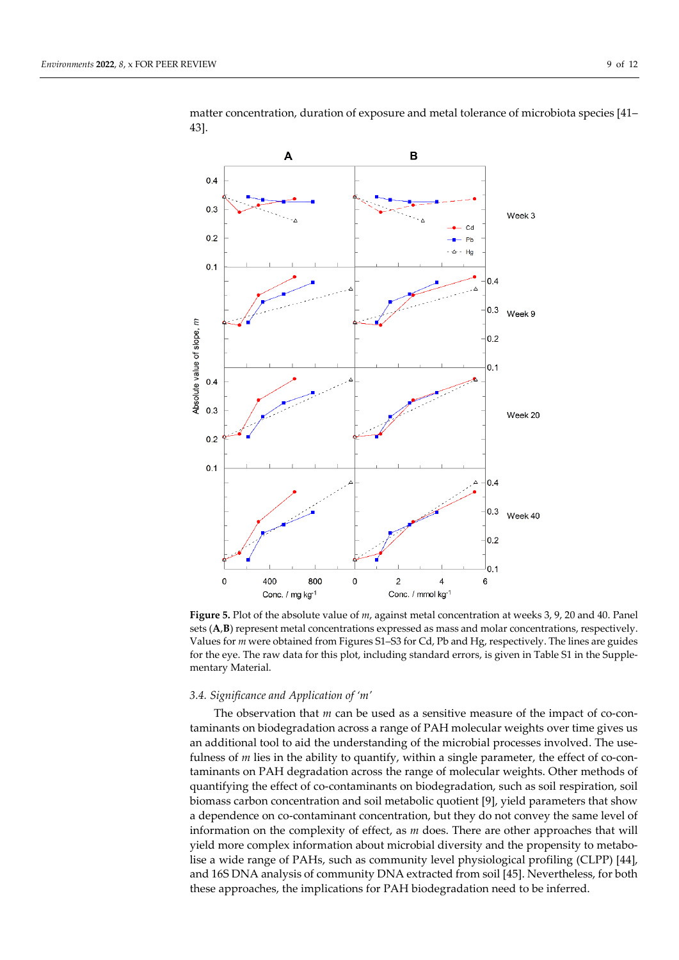

matter concentration, duration of exposure and metal tolerance of microbiota species [41– 43].

**Figure 5.** Plot of the absolute value of *m*, against metal concentration at weeks 3, 9, 20 and 40. Panel sets (**A**,**B**) represent metal concentrations expressed as mass and molar concentrations, respectively. Values for *m* were obtained from Figures S1–S3 for Cd, Pb and Hg, respectively. The lines are guides for the eye. The raw data for this plot, including standard errors, is given in Table S1 in the Supplementary Material.

#### *3.4. Significance and Application of 'm'*

The observation that *m* can be used as a sensitive measure of the impact of co-contaminants on biodegradation across a range of PAH molecular weights over time gives us an additional tool to aid the understanding of the microbial processes involved. The usefulness of *m* lies in the ability to quantify, within a single parameter, the effect of co-contaminants on PAH degradation across the range of molecular weights. Other methods of quantifying the effect of co-contaminants on biodegradation, such as soil respiration, soil biomass carbon concentration and soil metabolic quotient [9], yield parameters that show a dependence on co-contaminant concentration, but they do not convey the same level of information on the complexity of effect, as *m* does. There are other approaches that will yield more complex information about microbial diversity and the propensity to metabolise a wide range of PAHs, such as community level physiological profiling (CLPP) [44], and 16S DNA analysis of community DNA extracted from soil [45]. Nevertheless, for both these approaches, the implications for PAH biodegradation need to be inferred.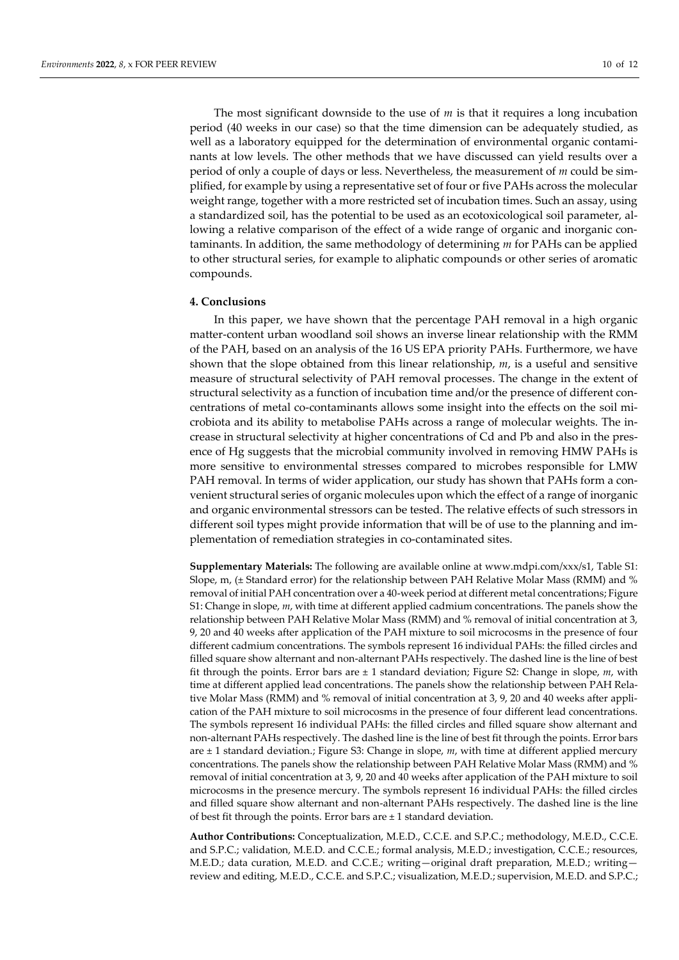The most significant downside to the use of *m* is that it requires a long incubation period (40 weeks in our case) so that the time dimension can be adequately studied, as well as a laboratory equipped for the determination of environmental organic contaminants at low levels. The other methods that we have discussed can yield results over a period of only a couple of days or less. Nevertheless, the measurement of *m* could be simplified, for example by using a representative set of four or five PAHs across the molecular weight range, together with a more restricted set of incubation times. Such an assay, using a standardized soil, has the potential to be used as an ecotoxicological soil parameter, allowing a relative comparison of the effect of a wide range of organic and inorganic contaminants. In addition, the same methodology of determining *m* for PAHs can be applied to other structural series, for example to aliphatic compounds or other series of aromatic compounds.

### **4. Conclusions**

In this paper, we have shown that the percentage PAH removal in a high organic matter-content urban woodland soil shows an inverse linear relationship with the RMM of the PAH, based on an analysis of the 16 US EPA priority PAHs. Furthermore, we have shown that the slope obtained from this linear relationship, *m*, is a useful and sensitive measure of structural selectivity of PAH removal processes. The change in the extent of structural selectivity as a function of incubation time and/or the presence of different concentrations of metal co-contaminants allows some insight into the effects on the soil microbiota and its ability to metabolise PAHs across a range of molecular weights. The increase in structural selectivity at higher concentrations of Cd and Pb and also in the presence of Hg suggests that the microbial community involved in removing HMW PAHs is more sensitive to environmental stresses compared to microbes responsible for LMW PAH removal. In terms of wider application, our study has shown that PAHs form a convenient structural series of organic molecules upon which the effect of a range of inorganic and organic environmental stressors can be tested. The relative effects of such stressors in different soil types might provide information that will be of use to the planning and implementation of remediation strategies in co-contaminated sites.

**Supplementary Materials:** The following are available online at www.mdpi.com/xxx/s1, Table S1: Slope, m, (± Standard error) for the relationship between PAH Relative Molar Mass (RMM) and % removal of initial PAH concentration over a 40-week period at different metal concentrations; Figure S1: Change in slope, *m*, with time at different applied cadmium concentrations. The panels show the relationship between PAH Relative Molar Mass (RMM) and % removal of initial concentration at 3, 9, 20 and 40 weeks after application of the PAH mixture to soil microcosms in the presence of four different cadmium concentrations. The symbols represent 16 individual PAHs: the filled circles and filled square show alternant and non-alternant PAHs respectively. The dashed line is the line of best fit through the points. Error bars are  $\pm 1$  standard deviation; Figure S2: Change in slope,  $m$ , with time at different applied lead concentrations. The panels show the relationship between PAH Relative Molar Mass (RMM) and % removal of initial concentration at 3, 9, 20 and 40 weeks after application of the PAH mixture to soil microcosms in the presence of four different lead concentrations. The symbols represent 16 individual PAHs: the filled circles and filled square show alternant and non-alternant PAHs respectively. The dashed line is the line of best fit through the points. Error bars are ± 1 standard deviation.; Figure S3: Change in slope, *m*, with time at different applied mercury concentrations. The panels show the relationship between PAH Relative Molar Mass (RMM) and % removal of initial concentration at 3, 9, 20 and 40 weeks after application of the PAH mixture to soil microcosms in the presence mercury. The symbols represent 16 individual PAHs: the filled circles and filled square show alternant and non-alternant PAHs respectively. The dashed line is the line of best fit through the points. Error bars are  $\pm$  1 standard deviation.

**Author Contributions:** Conceptualization, M.E.D., C.C.E. and S.P.C.; methodology, M.E.D., C.C.E. and S.P.C.; validation, M.E.D. and C.C.E.; formal analysis, M.E.D.; investigation, C.C.E.; resources, M.E.D.; data curation, M.E.D. and C.C.E.; writing—original draft preparation, M.E.D.; writing review and editing, M.E.D., C.C.E. and S.P.C.; visualization, M.E.D.; supervision, M.E.D. and S.P.C.;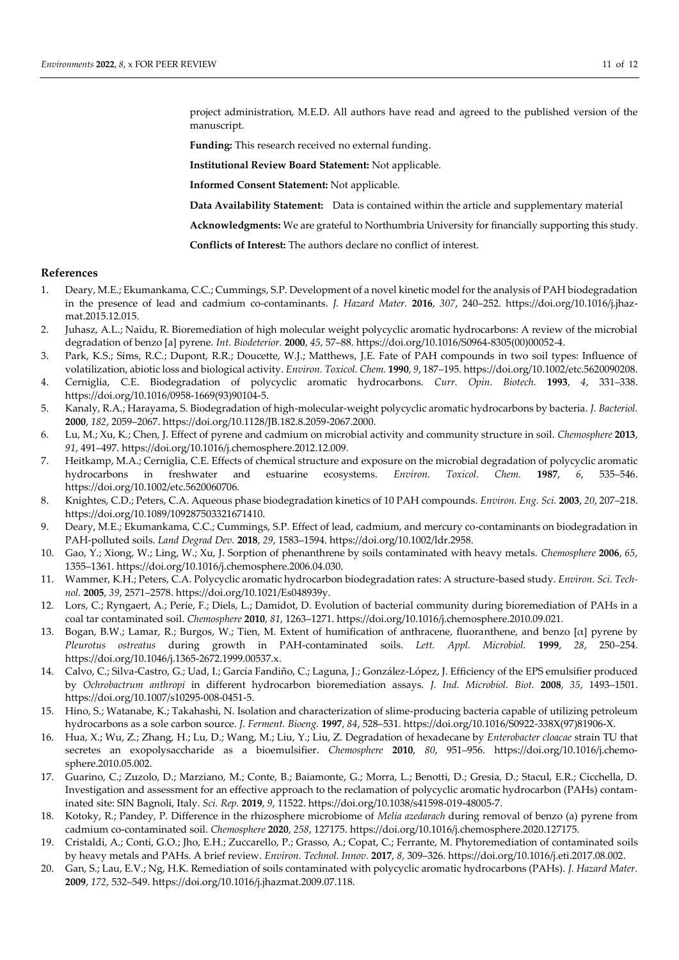project administration, M.E.D. All authors have read and agreed to the published version of the manuscript.

**Funding:** This research received no external funding.

**Institutional Review Board Statement:** Not applicable.

**Informed Consent Statement:** Not applicable.

**Data Availability Statement:** Data is contained within the article and supplementary material

**Acknowledgments:** We are grateful to Northumbria University for financially supporting this study.

**Conflicts of Interest:** The authors declare no conflict of interest.

## **References**

- 1. Deary, M.E.; Ekumankama, C.C.; Cummings, S.P. Development of a novel kinetic model for the analysis of PAH biodegradation in the presence of lead and cadmium co-contaminants. *J. Hazard Mater.* **2016**, *307*, 240–252. https://doi.org/10.1016/j.jhazmat.2015.12.015.
- 2. Juhasz, A.L.; Naidu, R. Bioremediation of high molecular weight polycyclic aromatic hydrocarbons: A review of the microbial degradation of benzo [a] pyrene. *Int. Biodeterior.* **2000**, *45*, 57–88. https://doi.org/10.1016/S0964-8305(00)00052-4.
- 3. Park, K.S.; Sims, R.C.; Dupont, R.R.; Doucette, W.J.; Matthews, J.E. Fate of PAH compounds in two soil types: Influence of volatilization, abiotic loss and biological activity. *Environ. Toxicol. Chem.* **1990**, *9*, 187–195. https://doi.org/10.1002/etc.5620090208.
- 4. Cerniglia, C.E. Biodegradation of polycyclic aromatic hydrocarbons. *Curr. Opin. Biotech.* **1993**, *4*, 331–338. https://doi.org/10.1016/0958-1669(93)90104-5.
- 5. Kanaly, R.A.; Harayama, S. Biodegradation of high-molecular-weight polycyclic aromatic hydrocarbons by bacteria. *J. Bacteriol.*  **2000**, *182*, 2059–2067. https://doi.org/10.1128/JB.182.8.2059-2067.2000.
- 6. Lu, M.; Xu, K.; Chen, J. Effect of pyrene and cadmium on microbial activity and community structure in soil. *Chemosphere* **2013**, *91*, 491–497. https://doi.org/10.1016/j.chemosphere.2012.12.009.
- 7. Heitkamp, M.A.; Cerniglia, C.E. Effects of chemical structure and exposure on the microbial degradation of polycyclic aromatic hydrocarbons in freshwater and estuarine ecosystems. *Environ. Toxicol. Chem.* **1987**, *6*, 535–546. https://doi.org/10.1002/etc.5620060706.
- 8. Knightes, C.D.; Peters, C.A. Aqueous phase biodegradation kinetics of 10 PAH compounds. *Environ. Eng. Sci.* **2003**, *20*, 207–218. https://doi.org/10.1089/109287503321671410.
- 9. Deary, M.E.; Ekumankama, C.C.; Cummings, S.P. Effect of lead, cadmium, and mercury co-contaminants on biodegradation in PAH-polluted soils. *Land Degrad Dev.* **2018**, *29*, 1583–1594. https://doi.org/10.1002/ldr.2958.
- 10. Gao, Y.; Xiong, W.; Ling, W.; Xu, J. Sorption of phenanthrene by soils contaminated with heavy metals. *Chemosphere* **2006**, *65*, 1355–1361. https://doi.org/10.1016/j.chemosphere.2006.04.030.
- 11. Wammer, K.H.; Peters, C.A. Polycyclic aromatic hydrocarbon biodegradation rates: A structure-based study. *Environ. Sci. Technol.* **2005**, *39*, 2571–2578. https://doi.org/10.1021/Es048939y.
- 12. Lors, C.; Ryngaert, A.; Perie, F.; Diels, L.; Damidot, D. Evolution of bacterial community during bioremediation of PAHs in a coal tar contaminated soil. *Chemosphere* **2010**, *81*, 1263–1271. https://doi.org/10.1016/j.chemosphere.2010.09.021.
- 13. Bogan, B.W.; Lamar, R.; Burgos, W.; Tien, M. Extent of humification of anthracene, fluoranthene, and benzo [α] pyrene by *Pleurotus ostreatus* during growth in PAH-contaminated soils. *Lett. Appl. Microbiol.* **1999**, *28*, 250–254. https://doi.org/10.1046/j.1365-2672.1999.00537.x.
- 14. Calvo, C.; Silva-Castro, G.; Uad, I.; García Fandiño, C.; Laguna, J.; González-López, J. Efficiency of the EPS emulsifier produced by *Ochrobactrum anthropi* in different hydrocarbon bioremediation assays. *J. Ind. Microbiol. Biot.* **2008**, *35*, 1493–1501. https://doi.org/10.1007/s10295-008-0451-5.
- 15. Hino, S.; Watanabe, K.; Takahashi, N. Isolation and characterization of slime-producing bacteria capable of utilizing petroleum hydrocarbons as a sole carbon source. *J. Ferment. Bioeng.* **1997**, *84*, 528–531. https://doi.org/10.1016/S0922-338X(97)81906-X.
- 16. Hua, X.; Wu, Z.; Zhang, H.; Lu, D.; Wang, M.; Liu, Y.; Liu, Z. Degradation of hexadecane by *Enterobacter cloacae* strain TU that secretes an exopolysaccharide as a bioemulsifier. *Chemosphere* **2010**, *80*, 951–956. https://doi.org/10.1016/j.chemosphere.2010.05.002.
- 17. Guarino, C.; Zuzolo, D.; Marziano, M.; Conte, B.; Baiamonte, G.; Morra, L.; Benotti, D.; Gresia, D.; Stacul, E.R.; Cicchella, D. Investigation and assessment for an effective approach to the reclamation of polycyclic aromatic hydrocarbon (PAHs) contaminated site: SIN Bagnoli, Italy. *Sci. Rep.* **2019**, *9*, 11522. https://doi.org/10.1038/s41598-019-48005-7.
- 18. Kotoky, R.; Pandey, P. Difference in the rhizosphere microbiome of *Melia azedarach* during removal of benzo (a) pyrene from cadmium co-contaminated soil. *Chemosphere* **2020**, *258*, 127175. https://doi.org/10.1016/j.chemosphere.2020.127175.
- 19. Cristaldi, A.; Conti, G.O.; Jho, E.H.; Zuccarello, P.; Grasso, A.; Copat, C.; Ferrante, M. Phytoremediation of contaminated soils by heavy metals and PAHs. A brief review. *Environ. Technol. Innov.* **2017**, *8*, 309–326. https://doi.org/10.1016/j.eti.2017.08.002.
- 20. Gan, S.; Lau, E.V.; Ng, H.K. Remediation of soils contaminated with polycyclic aromatic hydrocarbons (PAHs). *J. Hazard Mater.*  **2009**, *172*, 532–549. https://doi.org/10.1016/j.jhazmat.2009.07.118.